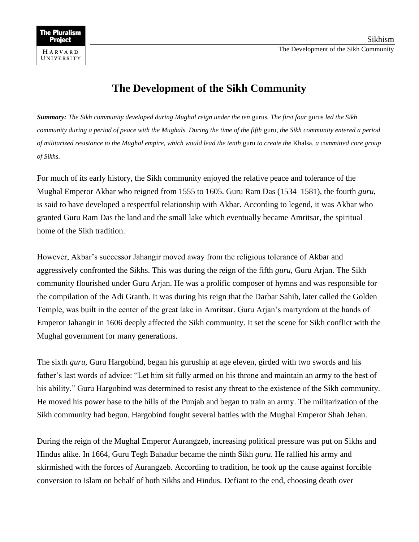## **The Development of the Sikh Community**

*Summary: The Sikh community developed during Mughal reign under the ten* gurus*. The first four* gurus *led the Sikh community during a period of peace with the Mughals. During the time of the fifth* guru*, the Sikh community entered a period of militarized resistance to the Mughal empire, which would lead the tenth* guru *to create the* Khalsa*, a committed core group of Sikhs.*

For much of its early history, the Sikh community enjoyed the relative peace and tolerance of the Mughal Emperor Akbar who reigned from 1555 to 1605. Guru Ram Das (1534–1581), the fourth *guru*, is said to have developed a respectful relationship with Akbar. According to legend, it was Akbar who granted Guru Ram Das the land and the small lake which eventually became Amritsar, the spiritual home of the Sikh tradition.

However, Akbar's successor Jahangir moved away from the religious tolerance of Akbar and aggressively confronted the Sikhs. This was during the reign of the fifth *guru*, Guru Arjan. The Sikh community flourished under Guru Arjan. He was a prolific composer of hymns and was responsible for the compilation of the Adi Granth. It was during his reign that the Darbar Sahib, later called the Golden Temple, was built in the center of the great lake in Amritsar. Guru Arjan's martyrdom at the hands of Emperor Jahangir in 1606 deeply affected the Sikh community. It set the scene for Sikh conflict with the Mughal government for many generations.

The sixth *guru*, Guru Hargobind, began his guruship at age eleven, girded with two swords and his father's last words of advice: "Let him sit fully armed on his throne and maintain an army to the best of his ability." Guru Hargobind was determined to resist any threat to the existence of the Sikh community. He moved his power base to the hills of the Punjab and began to train an army. The militarization of the Sikh community had begun. Hargobind fought several battles with the Mughal Emperor Shah Jehan.

During the reign of the Mughal Emperor Aurangzeb, increasing political pressure was put on Sikhs and Hindus alike. In 1664, Guru Tegh Bahadur became the ninth Sikh *guru*. He rallied his army and skirmished with the forces of Aurangzeb. According to tradition, he took up the cause against forcible conversion to Islam on behalf of both Sikhs and Hindus. Defiant to the end, choosing death over